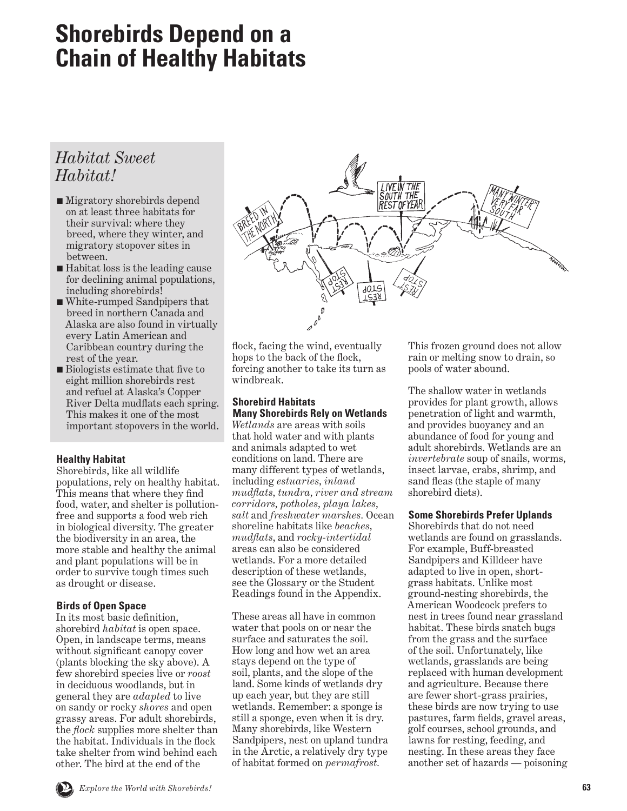# <span id="page-0-0"></span>**Shorebirds Depend on a Chain of Healthy Habitats**

# *Habitat Sweet Habitat!*

- Migratory shorebirds depend on at least three habitats for their survival: where they breed, where they winter, and migratory stopover sites in between.
- Habitat loss is the leading cause for declining animal populations, including shorebirds!
- White-rumped Sandpipers that breed in northern Canada and Alaska are also found in virtually every Latin American and Caribbean country during the rest of the year.
- Biologists estimate that five to eight million shorebirds rest and refuel at Alaska's Copper River Delta mudflats each spring. This makes it one of the most important stopovers in the world.

# **Healthy Habitat**

Shorebirds, like all wildlife populations, rely on healthy habitat. This means that where they find food, water, and shelter is pollutionfree and supports a food web rich in biological diversity. The greater the biodiversity in an area, the more stable and healthy the animal and plant populations will be in order to survive tough times such as drought or disease.

# **Birds of Open Space**

In its most basic definition, shorebird *habitat* is open space. Open, in landscape terms, means without significant canopy cover (plants blocking the sky above). A few shorebird species live or *roost* in deciduous woodlands, but in general they are *adapted* to live on sandy or rocky *shores* and open grassy areas. For adult shorebirds, the *flock* supplies more shelter than the habitat. Individuals in the flock take shelter from wind behind each other. The bird at the end of the



flock, facing the wind, eventually hops to the back of the flock, forcing another to take its turn as windbreak.

# **Shorebird Habitats Many Shorebirds Rely on Wetlands**

*Wetlands* are areas with soils that hold water and with plants and animals adapted to wet conditions on land. There are many different types of wetlands, including *estuaries, inland mudflats, tundra, river and stream corridors, potholes, playa lakes, salt* and *freshwater marshes.* Ocean shoreline habitats like *beaches, mudflats*, and *rocky-intertidal*  areas can also be considered wetlands. For a more detailed description of these wetlands, see the Glossary or the Student Readings found in the Appendix.

These areas all have in common water that pools on or near the surface and saturates the soil. How long and how wet an area stays depend on the type of soil, plants, and the slope of the land. Some kinds of wetlands dry up each year, but they are still wetlands. Remember: a sponge is still a sponge, even when it is dry. Many shorebirds, like Western Sandpipers, nest on upland tundra in the Arctic, a relatively dry type of habitat formed on *permafrost.*

This frozen ground does not allow rain or melting snow to drain, so pools of water abound.

The shallow water in wetlands provides for plant growth, allows penetration of light and warmth, and provides buoyancy and an abundance of food for young and adult shorebirds. Wetlands are an *invertebrate* soup of snails, worms, insect larvae, crabs, shrimp, and sand fleas (the staple of many shorebird diets).

# **Some Shorebirds Prefer Uplands**

Shorebirds that do not need wetlands are found on grasslands. For example, Buff-breasted Sandpipers and Killdeer have adapted to live in open, shortgrass habitats. Unlike most ground-nesting shorebirds, the American Woodcock prefers to nest in trees found near grassland habitat. These birds snatch bugs from the grass and the surface of the soil. Unfortunately, like wetlands, grasslands are being replaced with human development and agriculture. Because there are fewer short-grass prairies, these birds are now trying to use pastures, farm fields, gravel areas, golf courses, school grounds, and lawns for resting, feeding, and nesting. In these areas they face another set of hazards — poisoning